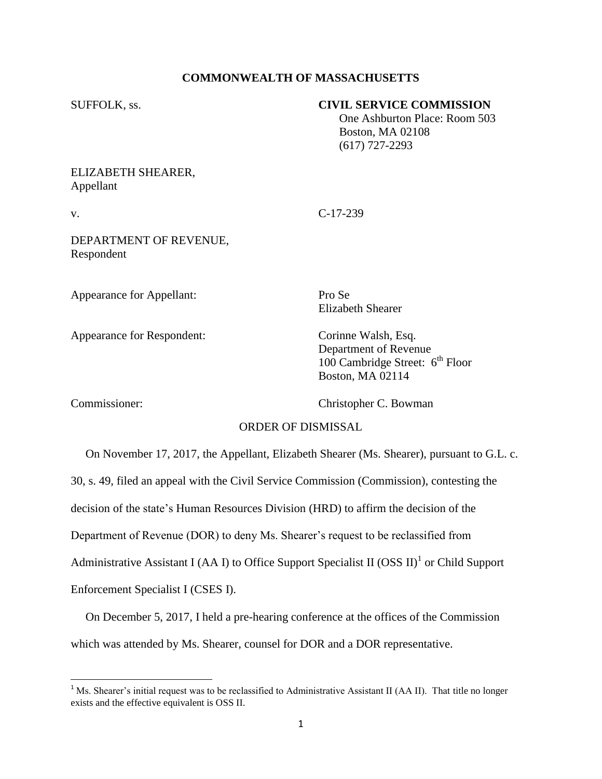## **COMMONWEALTH OF MASSACHUSETTS**

#### SUFFOLK, ss. **CIVIL SERVICE COMMISSION**

 One Ashburton Place: Room 503 Boston, MA 02108 (617) 727-2293

# ELIZABETH SHEARER, Appellant

v. C-17-239

DEPARTMENT OF REVENUE, Respondent

Appearance for Appellant: Pro Se

Appearance for Respondent: Corinne Walsh, Esq.

Elizabeth Shearer

Department of Revenue 100 Cambridge Street:  $6<sup>th</sup>$  Floor Boston, MA 02114

l

Commissioner: Christopher C. Bowman

### ORDER OF DISMISSAL

 On November 17, 2017, the Appellant, Elizabeth Shearer (Ms. Shearer), pursuant to G.L. c. 30, s. 49, filed an appeal with the Civil Service Commission (Commission), contesting the decision of the state's Human Resources Division (HRD) to affirm the decision of the Department of Revenue (DOR) to deny Ms. Shearer's request to be reclassified from Administrative Assistant I (AA I) to Office Support Specialist II (OSS II)<sup>1</sup> or Child Support Enforcement Specialist I (CSES I).

 On December 5, 2017, I held a pre-hearing conference at the offices of the Commission which was attended by Ms. Shearer, counsel for DOR and a DOR representative.

<sup>&</sup>lt;sup>1</sup> Ms. Shearer's initial request was to be reclassified to Administrative Assistant II (AA II). That title no longer exists and the effective equivalent is OSS II.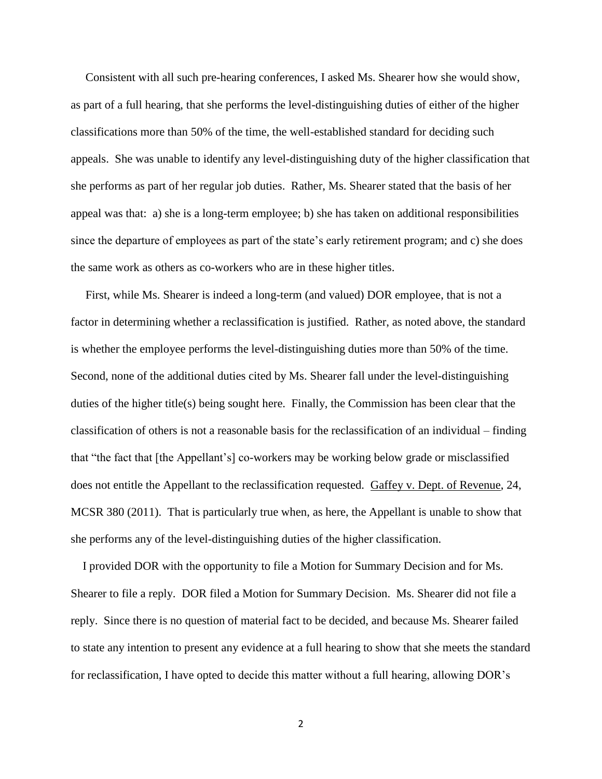Consistent with all such pre-hearing conferences, I asked Ms. Shearer how she would show, as part of a full hearing, that she performs the level-distinguishing duties of either of the higher classifications more than 50% of the time, the well-established standard for deciding such appeals. She was unable to identify any level-distinguishing duty of the higher classification that she performs as part of her regular job duties. Rather, Ms. Shearer stated that the basis of her appeal was that: a) she is a long-term employee; b) she has taken on additional responsibilities since the departure of employees as part of the state's early retirement program; and c) she does the same work as others as co-workers who are in these higher titles.

 First, while Ms. Shearer is indeed a long-term (and valued) DOR employee, that is not a factor in determining whether a reclassification is justified. Rather, as noted above, the standard is whether the employee performs the level-distinguishing duties more than 50% of the time. Second, none of the additional duties cited by Ms. Shearer fall under the level-distinguishing duties of the higher title(s) being sought here. Finally, the Commission has been clear that the classification of others is not a reasonable basis for the reclassification of an individual – finding that "the fact that [the Appellant's] co-workers may be working below grade or misclassified does not entitle the Appellant to the reclassification requested. Gaffey v. Dept. of Revenue, 24, MCSR 380 (2011). That is particularly true when, as here, the Appellant is unable to show that she performs any of the level-distinguishing duties of the higher classification.

 I provided DOR with the opportunity to file a Motion for Summary Decision and for Ms. Shearer to file a reply. DOR filed a Motion for Summary Decision. Ms. Shearer did not file a reply. Since there is no question of material fact to be decided, and because Ms. Shearer failed to state any intention to present any evidence at a full hearing to show that she meets the standard for reclassification, I have opted to decide this matter without a full hearing, allowing DOR's

2